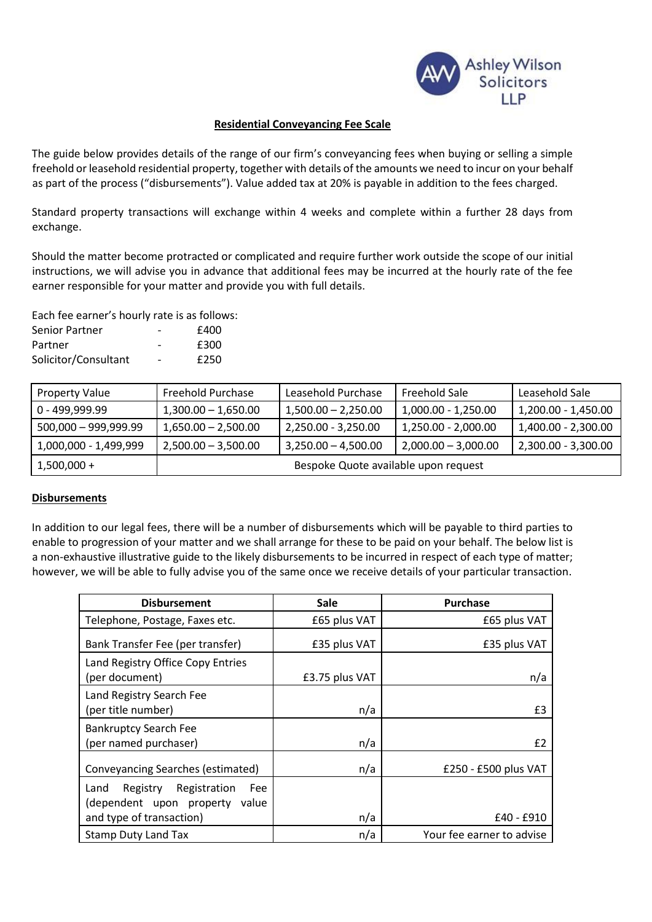

## **Residential Conveyancing Fee Scale**

The guide below provides details of the range of our firm's conveyancing fees when buying or selling a simple freehold or leasehold residential property, together with details of the amounts we need to incur on your behalf as part of the process ("disbursements"). Value added tax at 20% is payable in addition to the fees charged.

Standard property transactions will exchange within 4 weeks and complete within a further 28 days from exchange.

Should the matter become protracted or complicated and require further work outside the scope of our initial instructions, we will advise you in advance that additional fees may be incurred at the hourly rate of the fee earner responsible for your matter and provide you with full details.

Each fee earner's hourly rate is as follows:

| Senior Partner       | $\overline{\phantom{0}}$ | £400 |
|----------------------|--------------------------|------|
| Partner              | -                        | £300 |
| Solicitor/Consultant | $\overline{\phantom{0}}$ | £250 |

| <b>Property Value</b> | Freehold Purchase                    | Leasehold Purchase    | Freehold Sale         | Leasehold Sale        |
|-----------------------|--------------------------------------|-----------------------|-----------------------|-----------------------|
| 0 - 499.999.99        | $1,300.00 - 1,650.00$                | $1,500.00 - 2,250.00$ | 1,000.00 - 1,250.00   | 1,200.00 - 1,450.00   |
| 500,000 - 999,999.99  | $1,650.00 - 2,500.00$                | 2,250.00 - 3,250.00   | $1,250.00 - 2,000.00$ | $1,400.00 - 2,300.00$ |
| 1,000,000 - 1,499,999 | $2,500.00 - 3,500.00$                | $3,250.00 - 4,500.00$ | $2,000.00 - 3,000.00$ | $2,300.00 - 3,300.00$ |
| $1,500,000 +$         | Bespoke Quote available upon request |                       |                       |                       |

### **Disbursements**

In addition to our legal fees, there will be a number of disbursements which will be payable to third parties to enable to progression of your matter and we shall arrange for these to be paid on your behalf. The below list is a non-exhaustive illustrative guide to the likely disbursements to be incurred in respect of each type of matter; however, we will be able to fully advise you of the same once we receive details of your particular transaction.

| <b>Disbursement</b>                                                                                   | <b>Sale</b>    | <b>Purchase</b>           |
|-------------------------------------------------------------------------------------------------------|----------------|---------------------------|
| Telephone, Postage, Faxes etc.                                                                        | £65 plus VAT   | £65 plus VAT              |
| Bank Transfer Fee (per transfer)                                                                      | £35 plus VAT   | £35 plus VAT              |
| Land Registry Office Copy Entries<br>(per document)                                                   | £3.75 plus VAT | n/a                       |
| Land Registry Search Fee<br>(per title number)                                                        | n/a            | £3                        |
| <b>Bankruptcy Search Fee</b><br>(per named purchaser)                                                 | n/a            | £2                        |
| <b>Conveyancing Searches (estimated)</b>                                                              | n/a            | £250 - £500 plus VAT      |
| Registration<br>Land<br>Registry<br>Fee<br>(dependent upon property value<br>and type of transaction) | n/a            | £40 - £910                |
| <b>Stamp Duty Land Tax</b>                                                                            | n/a            | Your fee earner to advise |